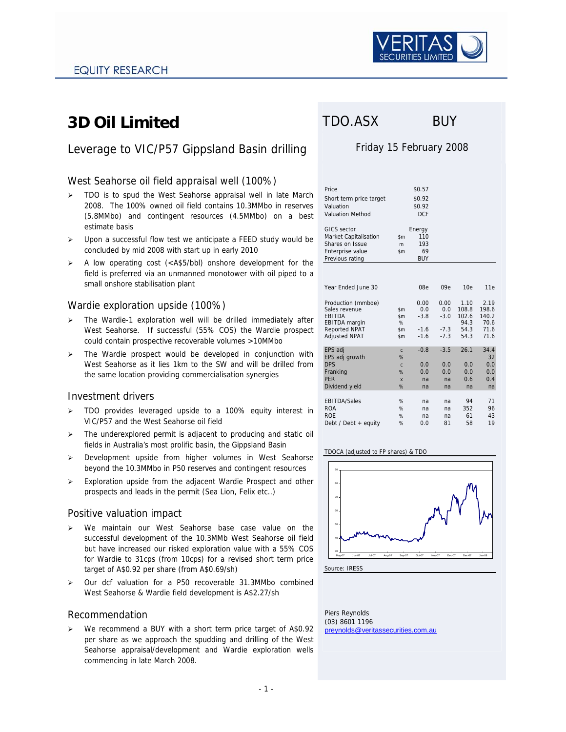

## Leverage to VIC/P57 Gippsland Basin drilling Friday 15 February 2008

## West Seahorse oil field appraisal well (100%)

- $\triangleright$  TDO is to spud the West Seahorse appraisal well in late March 2008. The 100% owned oil field contains 10.3MMbo in reserves (5.8MMbo) and contingent resources (4.5MMbo) on a best estimate basis
- ¾ Upon a successful flow test we anticipate a FEED study would be concluded by mid 2008 with start up in early 2010
- ¾ A low operating cost (<A\$5/bbl) onshore development for the field is preferred via an unmanned monotower with oil piped to a small onshore stabilisation plant

## Wardie exploration upside (100%)

- ¾ The Wardie-1 exploration well will be drilled immediately after West Seahorse. If successful (55% COS) the Wardie prospect could contain prospective recoverable volumes >10MMbo
- $\triangleright$  The Wardie prospect would be developed in conjunction with West Seahorse as it lies 1km to the SW and will be drilled from the same location providing commercialisation synergies

#### Investment drivers

- ¾ TDO provides leveraged upside to a 100% equity interest in VIC/P57 and the West Seahorse oil field
- $\triangleright$  The underexplored permit is adjacent to producing and static oil fields in Australia's most prolific basin, the Gippsland Basin
- ¾ Development upside from higher volumes in West Seahorse beyond the 10.3MMbo in P50 reserves and contingent resources
- $\triangleright$  Exploration upside from the adjacent Wardie Prospect and other prospects and leads in the permit (Sea Lion, Felix etc..)

### Positive valuation impact

- We maintain our West Seahorse base case value on the successful development of the 10.3MMb West Seahorse oil field but have increased our risked exploration value with a 55% COS for Wardie to 31cps (from 10cps) for a revised short term price target of A\$0.92 per share (from A\$0.69/sh)
- ¾ Our dcf valuation for a P50 recoverable 31.3MMbo combined West Seahorse & Wardie field development is A\$2.27/sh

### Recommendation

We recommend a BUY with a short term price target of A\$0.92 per share as we approach the spudding and drilling of the West Seahorse appraisal/development and Wardie exploration wells commencing in late March 2008.

# **3D Oil Limited**  TDO.ASX BUY

| Price                   |     | \$0.57     |  |
|-------------------------|-----|------------|--|
| Short term price target |     | \$0.92     |  |
| Valuation               |     | \$0.92     |  |
| <b>Valuation Method</b> |     | <b>DCF</b> |  |
|                         |     |            |  |
| GICS sector             |     | Energy     |  |
| Market Capitalisation   | \$m | 110        |  |
| Shares on Issue         | m   | 193        |  |
| Enterprise value        | \$m | 69         |  |
| Previous rating         |     | <b>BUY</b> |  |

| Year Ended June 30                                                                                                    |                                                             | 08e                                       | 09e                                       | 10e                                            | 11e                                            |
|-----------------------------------------------------------------------------------------------------------------------|-------------------------------------------------------------|-------------------------------------------|-------------------------------------------|------------------------------------------------|------------------------------------------------|
| Production (mmboe)<br>Sales revenue<br><b>EBITDA</b><br>EBITDA margin<br><b>Reported NPAT</b><br><b>Adjusted NPAT</b> | \$m<br>\$m\$<br>%<br>\$m\$<br>\$m\$                         | 0.00<br>0.0<br>$-3.8$<br>$-1.6$<br>$-1.6$ | 0.00<br>0.0<br>$-3.0$<br>$-7.3$<br>$-7.3$ | 1.10<br>108.8<br>102.6<br>94.3<br>54.3<br>54.3 | 2.19<br>198.6<br>140.2<br>70.6<br>71.6<br>71.6 |
| EPS adj<br>EPS adj growth<br><b>DPS</b><br>Franking<br><b>PER</b><br>Dividend yield                                   | $\mathsf{C}$<br>%<br>$\mathsf{C}$<br>%<br>$\mathbf{x}$<br>% | $-0.8$<br>0.0<br>0.0<br>na<br>na          | $-3.5$<br>0.0<br>0.0<br>na<br>na          | 26.1<br>0.0<br>0.0<br>0.6<br>na                | 34.4<br>32<br>0.0<br>0.0<br>0.4<br>na          |
| <b>EBITDA/Sales</b><br><b>ROA</b><br><b>ROE</b><br>Debt / Debt $+$ equity                                             | %<br>%<br>%<br>%                                            | na<br>na<br>na<br>0.0                     | na<br>na<br>na<br>81                      | 94<br>352<br>61<br>58                          | 71<br>96<br>43<br>19                           |

TDOCA (adjusted to FP shares) & TDO



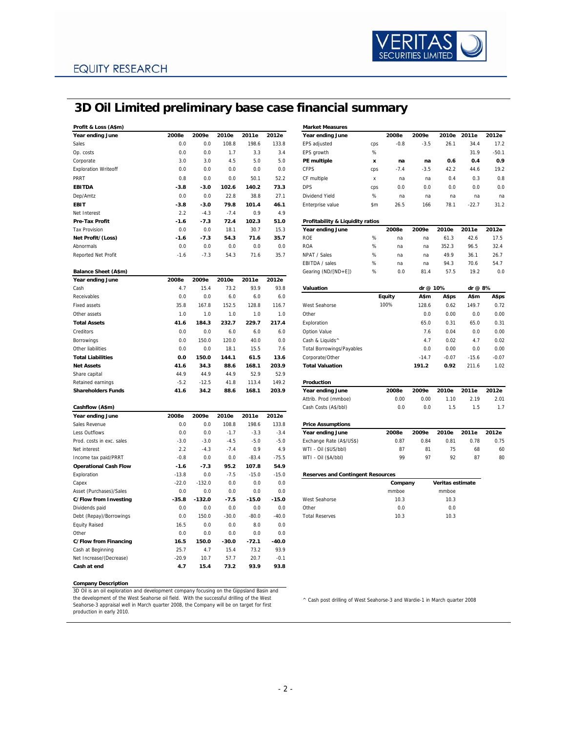

# **3D Oil Limited preliminary base case financial summary**

| Profit & Loss (A\$m)         |         |          |         |         |         | <b>Market Measures</b>                   |      |               |          |                  |         |         |
|------------------------------|---------|----------|---------|---------|---------|------------------------------------------|------|---------------|----------|------------------|---------|---------|
| Year ending June             | 2008e   | 2009e    | 2010e   | 2011e   | 2012e   | Year ending June                         |      | 2008e         | 2009e    | 2010e            | 2011e   | 2012e   |
| Sales                        | 0.0     | 0.0      | 108.8   | 198.6   | 133.8   | EPS adjusted                             | cps  | $-0.8$        | $-3.5$   | 26.1             | 34.4    | 17.2    |
| Op. costs                    | 0.0     | 0.0      | 1.7     | 3.3     | 3.4     | EPS growth                               | %    |               |          |                  | 31.9    | $-50.1$ |
| Corporate                    | 3.0     | 3.0      | 4.5     | 5.0     | 5.0     | PE multiple                              | x    | na            | na       | 0.6              | 0.4     | 0.9     |
| <b>Exploration Writeoff</b>  | 0.0     | 0.0      | 0.0     | 0.0     | 0.0     | <b>CFPS</b>                              | cps  | $-7.4$        | $-3.5$   | 42.2             | 44.6    | 19.2    |
| PRRT                         | 0.8     | 0.0      | 0.0     | 50.1    | 52.2    | CF multiple                              | X    | na            | na       | 0.4              | 0.3     | 0.8     |
| <b>EBITDA</b>                | $-3.8$  | $-3.0$   | 102.6   | 140.2   | 73.3    | <b>DPS</b>                               | cps  | 0.0           | 0.0      | 0.0              | 0.0     | 0.0     |
| Dep/Amtz                     | 0.0     | 0.0      | 22.8    | 38.8    | 27.1    | Dividend Yield                           | $\%$ | na            | na       | na               | na      | na      |
| <b>EBIT</b>                  | $-3.8$  | $-3.0$   | 79.8    | 101.4   | 46.1    | Enterprise value                         | \$m  | 26.5          | 166      | 78.1             | $-22.7$ | 31.2    |
| Net Interest                 | 2.2     | $-4.3$   | $-7.4$  | 0.9     | 4.9     |                                          |      |               |          |                  |         |         |
| Pre-Tax Profit               | $-1.6$  | $-7.3$   | 72.4    | 102.3   | 51.0    | Profitability & Liquidity ratios         |      |               |          |                  |         |         |
| <b>Tax Provision</b>         | 0.0     | 0.0      | 18.1    | 30.7    | 15.3    | Year ending June                         |      | 2008e         | 2009e    | 2010e            | 2011e   | 2012e   |
| Net Profit/(Loss)            | $-1.6$  | $-7.3$   | 54.3    | 71.6    | 35.7    | <b>ROE</b>                               | $\%$ | na            | na       | 61.3             | 42.6    | 17.5    |
| Abnormals                    | 0.0     | 0.0      | 0.0     | 0.0     | 0.0     | <b>ROA</b>                               | %    | na            | na       | 352.3            | 96.5    | 32.4    |
| Reported Net Profit          | $-1.6$  | $-7.3$   | 54.3    | 71.6    | 35.7    | NPAT / Sales                             | $\%$ | na            | na       | 49.9             | 36.1    | 26.7    |
|                              |         |          |         |         |         | EBITDA / sales                           | $\%$ | na            | na       | 94.3             | 70.6    | 54.7    |
| Balance Sheet (A\$m)         |         |          |         |         |         | Gearing (ND/[ND+E])                      | $\%$ | 0.0           | 81.4     | 57.5             | 19.2    | 0.0     |
| Year ending June             | 2008e   | 2009e    | 2010e   | 2011e   | 2012e   |                                          |      |               |          |                  |         |         |
| Cash                         | 4.7     | 15.4     | 73.2    | 93.9    | 93.8    | Valuation                                |      |               | dr @ 10% |                  | dr @ 8% |         |
| Receivables                  | 0.0     | 0.0      | 6.0     | 6.0     | 6.0     |                                          |      | <b>Equity</b> | A\$m     | A\$ps            | A\$m    | A\$ps   |
| <b>Fixed assets</b>          | 35.8    | 167.8    | 152.5   | 128.8   | 116.7   | West Seahorse                            |      | 100%          | 128.6    | 0.62             | 149.7   | 0.72    |
| Other assets                 | 1.0     | 1.0      | 1.0     | 1.0     | 1.0     | Other                                    |      |               | 0.0      | 0.00             | 0.0     | 0.00    |
| <b>Total Assets</b>          | 41.6    | 184.3    | 232.7   | 229.7   | 217.4   | Exploration                              |      |               | 65.0     | 0.31             | 65.0    | 0.31    |
| Creditors                    | 0.0     | 0.0      | 6.0     | $6.0\,$ | 6.0     | Option Value                             |      |               | 7.6      | 0.04             | 0.0     | 0.00    |
| Borrowings                   | 0.0     | 150.0    | 120.0   | 40.0    | 0.0     | Cash & Liquids^                          |      |               | 4.7      | 0.02             | 4.7     | 0.02    |
| Other liabilities            | 0.0     | 0.0      | 18.1    | 15.5    | 7.6     | <b>Total Borrowings/Payables</b>         |      |               | 0.0      | 0.00             | 0.0     | 0.00    |
| <b>Total Liabilities</b>     | 0.0     | 150.0    | 144.1   | 61.5    | 13.6    | Corporate/Other                          |      |               | $-14.7$  | $-0.07$          | $-15.6$ | $-0.07$ |
| <b>Net Assets</b>            | 41.6    | 34.3     | 88.6    | 168.1   | 203.9   | <b>Total Valuation</b>                   |      |               | 191.2    | 0.92             | 211.6   | 1.02    |
| Share capital                | 44.9    | 44.9     | 44.9    | 52.9    | 52.9    |                                          |      |               |          |                  |         |         |
| Retained earnings            | $-5.2$  | $-12.5$  | 41.8    | 113.4   | 149.2   | Production                               |      |               |          |                  |         |         |
| <b>Shareholders Funds</b>    | 41.6    | 34.2     | 88.6    | 168.1   | 203.9   | Year ending June                         |      | 2008e         | 2009e    | 2010e            | 2011e   | 2012e   |
|                              |         |          |         |         |         | Attrib. Prod (mmboe)                     |      | 0.00          | 0.00     | 1.10             | 2.19    | 2.01    |
| Cashflow (A\$m)              |         |          |         |         |         | Cash Costs (A\$/bbl)                     |      | 0.0           | 0.0      | 1.5              | 1.5     | 1.7     |
| Year ending June             | 2008e   | 2009e    | 2010e   | 2011e   | 2012e   |                                          |      |               |          |                  |         |         |
| Sales Revenue                | 0.0     | 0.0      | 108.8   | 198.6   | 133.8   | <b>Price Assumptions</b>                 |      |               |          |                  |         |         |
| Less Outflows                | 0.0     | 0.0      | $-1.7$  | $-3.3$  | $-3.4$  | Year ending June                         |      | 2008e         | 2009e    | 2010e            | 2011e   | 2012e   |
| Prod. costs in exc. sales    | $-3.0$  | $-3.0$   | $-4.5$  | $-5.0$  | $-5.0$  | Exchange Rate (A\$/US\$)                 |      | 0.87          | 0.84     | 0.81             | 0.78    | 0.75    |
| Net interest                 | 2.2     | $-4.3$   | $-7.4$  | 0.9     | 4.9     | WTI - Oil (\$US/bbl)                     |      | 87            | 81       | 75               | 68      | 60      |
| Income tax paid/PRRT         | $-0.8$  | 0.0      | 0.0     | $-83.4$ | $-75.5$ | WTI - Oil (\$A/bbl)                      |      | 99            | 97       | 92               | 87      | 80      |
| <b>Operational Cash Flow</b> | $-1.6$  | $-7.3$   | 95.2    | 107.8   | 54.9    |                                          |      |               |          |                  |         |         |
| Exploration                  | $-13.8$ | 0.0      | $-7.5$  | $-15.0$ | $-15.0$ | <b>Reserves and Contingent Resources</b> |      |               |          |                  |         |         |
| Capex                        | $-22.0$ | $-132.0$ | 0.0     | 0.0     | 0.0     |                                          |      | Company       |          | Veritas estimate |         |         |
| Asset (Purchases)/Sales      | 0.0     | 0.0      | 0.0     | 0.0     | 0.0     |                                          |      | mmboe         |          | mmboe            |         |         |
| <b>C/Flow from Investing</b> | $-35.8$ | $-132.0$ | $-7.5$  | $-15.0$ | $-15.0$ | West Seahorse                            |      | 10.3          |          | 10.3             |         |         |
| Dividends paid               | 0.0     | 0.0      | 0.0     | 0.0     | 0.0     | Other                                    |      | 0.0           |          | 0.0              |         |         |
| Debt (Repay)/Borrowings      | 0.0     | 150.0    | $-30.0$ | $-80.0$ | $-40.0$ | <b>Total Reserves</b>                    |      | 10.3          |          | 10.3             |         |         |
| <b>Equity Raised</b>         | 16.5    | 0.0      | 0.0     | 8.0     | 0.0     |                                          |      |               |          |                  |         |         |
| Other                        | 0.0     | 0.0      | 0.0     | 0.0     | 0.0     |                                          |      |               |          |                  |         |         |
| <b>C/Flow from Financing</b> | 16.5    | 150.0    | $-30.0$ | $-72.1$ | $-40.0$ |                                          |      |               |          |                  |         |         |
| Cash at Beginning            | 25.7    | 4.7      | 15.4    | 73.2    | 93.9    |                                          |      |               |          |                  |         |         |
| Net Increase/(Decrease)      | $-20.9$ | 10.7     | 57.7    | 20.7    | $-0.1$  |                                          |      |               |          |                  |         |         |
| Cash at end                  | 4.7     | 15.4     | 73.2    | 93.9    | 93.8    |                                          |      |               |          |                  |         |         |
|                              |         |          |         |         |         |                                          |      |               |          |                  |         |         |

| <b>Market Measures</b> |     |        |        |       |         |         |
|------------------------|-----|--------|--------|-------|---------|---------|
| Year ending June       |     | 2008e  | 2009e  | 2010e | 2011e   | 2012e   |
| EPS adjusted           | cps | $-0.8$ | $-3.5$ | 26.1  | 34.4    | 17.2    |
| EPS growth             | %   |        |        |       | 31.9    | $-50.1$ |
| <b>PE</b> multiple     | x   | na     | na     | 0.6   | 0.4     | 0.9     |
| <b>CFPS</b>            | cps | $-7.4$ | $-3.5$ | 42.2  | 44.6    | 19.2    |
| CF multiple            | x   | na     | na     | 0.4   | 0.3     | 0.8     |
| <b>DPS</b>             | cps | 0.0    | 0.0    | 0.0   | 0.0     | 0.0     |
| Dividend Yield         | %   | na     | na     | na    | na      | na      |
| Enterprise value       | \$m | 26.5   | 166    | 78.1  | $-22.7$ | 31.2    |

| Profitability & Liquidity ratios |   |       |       |       |       |       |
|----------------------------------|---|-------|-------|-------|-------|-------|
| Year ending June                 |   | 2008e | 2009e | 2010e | 2011e | 2012e |
| <b>ROF</b>                       | % | na    | na    | 61.3  | 42.6  | 17.5  |
| <b>ROA</b>                       | % | na    | na    | 352.3 | 96.5  | 32.4  |
| NPAT / Sales                     | % | na    | na    | 49.9  | 36.1  | 26.7  |
| <b>FBITDA / sales</b>            | % | na    | na    | 94.3  | 70.6  | 54.7  |
| Gearing (ND/[ND+E])              | % | 0.0   | 81.4  | 57.5  | 19.2  | 0.0   |

| Valuation                        |        | dr @ 10% |         | dr @ 8% |         |
|----------------------------------|--------|----------|---------|---------|---------|
|                                  | Equity | A\$m     | A\$ps   | A\$m    | A\$ps   |
| West Seahorse                    | 100%   | 128.6    | 0.62    | 149.7   | 0.72    |
| Other                            |        | 0.0      | 0.00    | 0.0     | 0.00    |
| Exploration                      |        | 65.0     | 0.31    | 65.0    | 0.31    |
| Option Value                     |        | 7.6      | 0.04    | 0.0     | 0.00    |
| Cash & Liquids^                  |        | 4.7      | 0.02    | 4.7     | 0.02    |
| <b>Total Borrowings/Payables</b> |        | 0.0      | 0.00    | 0.0     | 0.00    |
| Corporate/Other                  |        | $-14.7$  | $-0.07$ | $-15.6$ | $-0.07$ |
| <b>Total Valuation</b>           |        | 191.2    | 0.92    | 211.6   | 1.02    |

| Production           |       |       |       |       |       |
|----------------------|-------|-------|-------|-------|-------|
| Year ending June     | 2008e | 2009e | 2010e | 2011e | 2012e |
| Attrib. Prod (mmboe) | 0.00  | 0.00  | 1.10  | 2.19  | 2.01  |
| Cash Costs (A\$/bbl) | 0.0   | 0.0   | 1.5   | 15    | 1.7   |

| <b>Price Assumptions</b> |       |       |       |       |       |
|--------------------------|-------|-------|-------|-------|-------|
| Year ending June         | 2008e | 2009e | 2010e | 2011e | 2012e |
| Exchange Rate (A\$/US\$) | 0.87  | 0.84  | 0.81  | 0.78  | 0.75  |
| WTI - Oil (\$US/bbl)     | 87    | 81    | 75    | 68    | 60    |
| WTI - Oil (\$A/bbl)      | 99    | 97    | 92    | 87    | 80    |

| <b>Reserves and Contingent Resources</b> |         |                  |  |  |  |
|------------------------------------------|---------|------------------|--|--|--|
|                                          | Company | Veritas estimate |  |  |  |
|                                          | mmboe   | mmboe            |  |  |  |
| West Seahorse                            | 10.3    | 10.3             |  |  |  |
| Other                                    | 0.0     | 0.0              |  |  |  |
| <b>Total Reserves</b>                    | 10.3    | 10.3             |  |  |  |
|                                          |         |                  |  |  |  |

**Company Description**

3D Oil is an oil exploration and development company focusing on the Gippsland Basin and the development of the West Seahorse oil field. With the successful drilling of the West Seahorse-3 appraisal well in March quarter 2008, the Company will be on target for first production in early 2010.

^ Cash post drilling of West Seahorse-3 and Wardie-1 in March quarter 2008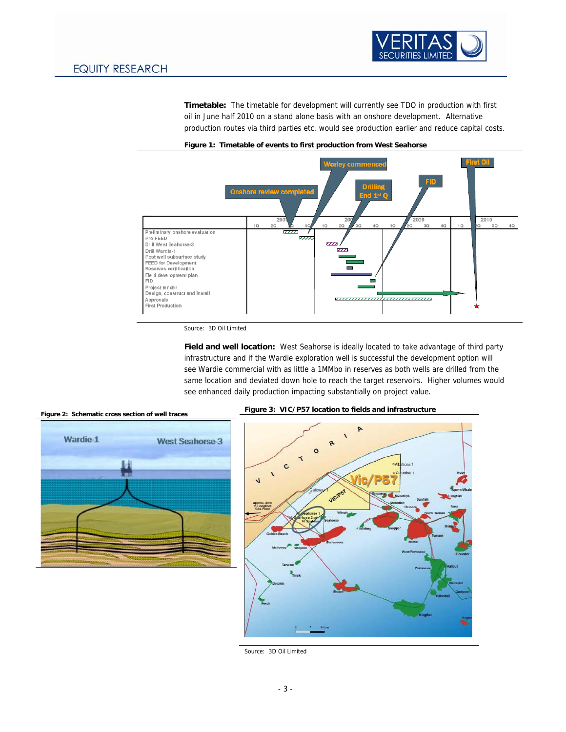

**Timetable:** The timetable for development will currently see TDO in production with first oil in June half 2010 on a stand alone basis with an onshore development. Alternative production routes via third parties etc. would see production earlier and reduce capital costs.



**Figure 1: Timetable of events to first production from West Seahorse** 

**Field and well location:** West Seahorse is ideally located to take advantage of third party infrastructure and if the Wardie exploration well is successful the development option will see Wardie commercial with as little a 1MMbo in reserves as both wells are drilled from the same location and deviated down hole to reach the target reservoirs. Higher volumes would see enhanced daily production impacting substantially on project value.







Source: 3D Oil Limited

Source: 3D Oil Limited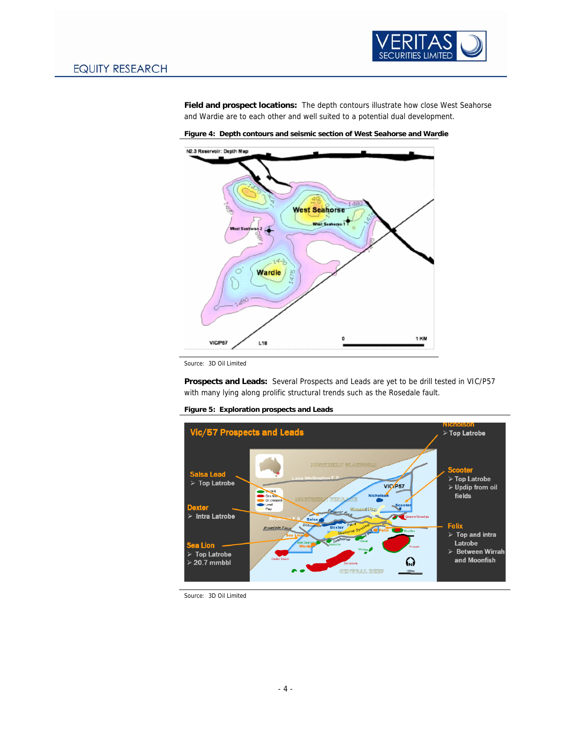

**Field and prospect locations:** The depth contours illustrate how close West Seahorse and Wardie are to each other and well suited to a potential dual development.



**Figure 4: Depth contours and seismic section of West Seahorse and Wardie** 

**Prospects and Leads:** Several Prospects and Leads are yet to be drill tested in VIC/P57 with many lying along prolific structural trends such as the Rosedale fault.

**Figure 5: Exploration prospects and Leads** 



Source: 3D Oil Limited

Source: 3D Oil Limited